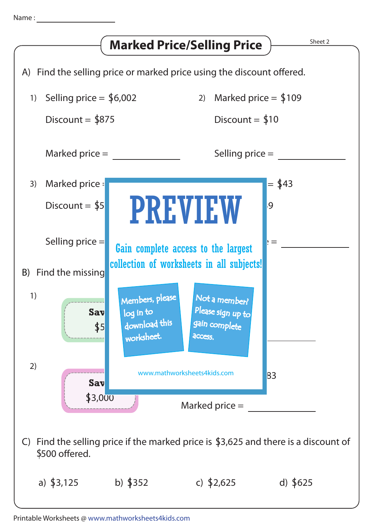